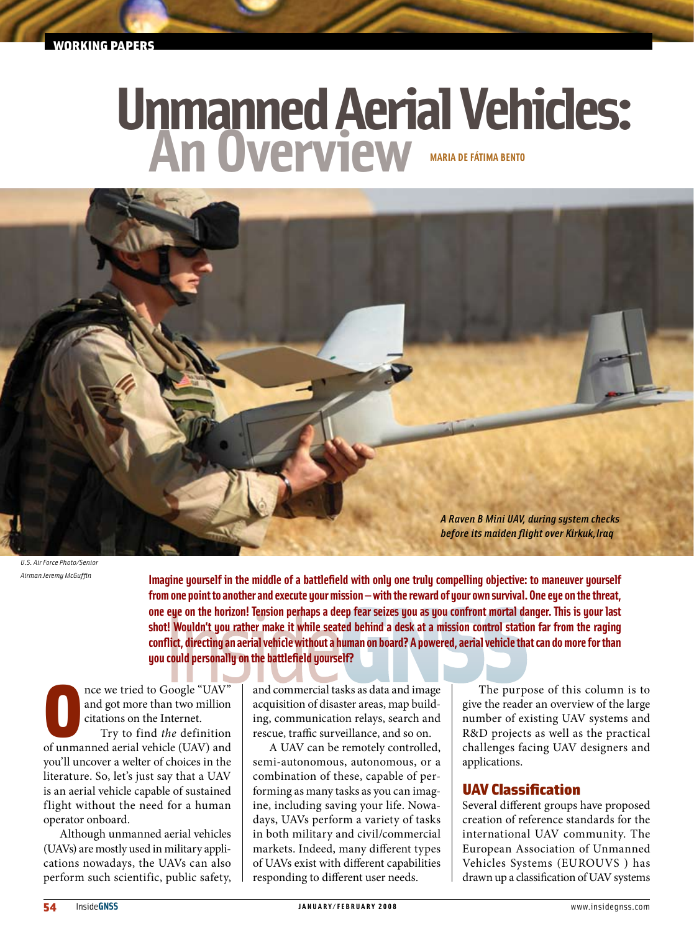# Unmanned Aerial Vehicles:



*U.S. Air Force Photo/Senior Airman Jeremy McGuffin*

**Imagine yourself in the middle of a battlefield with only one truly compelling objective: to maneuver yourself from one point to another and execute your mission — with the reward of your own survival. One eye on the threat, one eye on the horizon! Tension perhaps a deep fear seizes you as you confront mortal danger. This is your last shot! Wouldn't you rather make it while seated behind a desk at a mission control station far from the raging conflict, directing an aerial vehicle without a human on board? A powered, aerial vehicle that can do more for than you could personally on the battlefield yourself?**

nce we tried to Google "UAV"<br>and got more than two million<br>citations on the Internet.<br>Try to find the definition<br>of unmanned aerial vehicle (UAV) and nce we tried to Google "UAV" and got more than two million citations on the Internet. Try to find *the* definition you'll uncover a welter of choices in the literature. So, let's just say that a UAV is an aerial vehicle capable of sustained flight without the need for a human operator onboard.

Although unmanned aerial vehicles (UAVs) are mostly used in military applications nowadays, the UAVs can also perform such scientific, public safety, and commercial tasks as data and image acquisition of disaster areas, map building, communication relays, search and rescue, traffic surveillance, and so on.

A UAV can be remotely controlled, semi-autonomous, autonomous, or a combination of these, capable of performing as many tasks as you can imagine, including saving your life. Nowadays, UAVs perform a variety of tasks in both military and civil/commercial markets. Indeed, many different types of UAVs exist with different capabilities responding to different user needs.

The purpose of this column is to give the reader an overview of the large number of existing UAV systems and R&D projects as well as the practical challenges facing UAV designers and applications.

# UAV Classification

Several different groups have proposed creation of reference standards for the international UAV community. The European Association of Unmanned Vehicles Systems (EUROUVS ) has drawn up a classification of UAV systems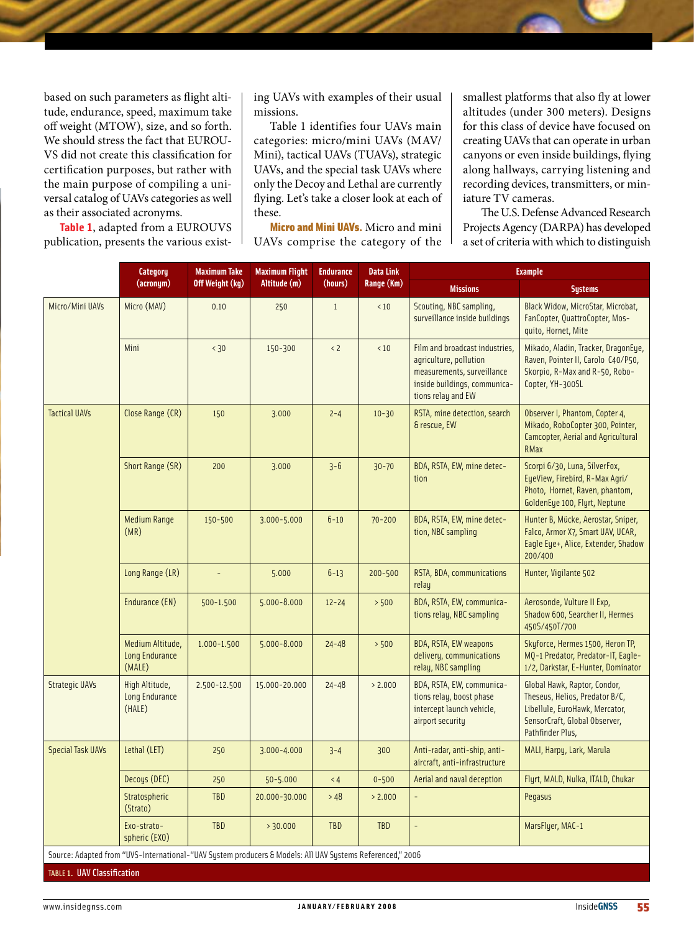based on such parameters as flight altitude, endurance, speed, maximum take off weight (MTOW), size, and so forth. We should stress the fact that EUROU-VS did not create this classification for certification purposes, but rather with the main purpose of compiling a universal catalog of UAVs categories as well as their associated acronyms.

**Table 1**, adapted from a EUROUVS publication, presents the various existing UAVs with examples of their usual missions.

Table 1 identifies four UAVs main categories: micro/mini UAVs (MAV/ Mini), tactical UAVs (TUAVs), strategic UAVs, and the special task UAVs where only the Decoy and Lethal are currently flying. Let's take a closer look at each of these.

Micro and Mini UAVs. Micro and mini UAVs comprise the category of the smallest platforms that also fly at lower altitudes (under 300 meters). Designs for this class of device have focused on creating UAVs that can operate in urban canyons or even inside buildings, flying along hallways, carrying listening and recording devices, transmitters, or miniature TV cameras.

 The U.S. Defense Advanced Research Projects Agency (DARPA) has developed a set of criteria with which to distinguish

|                                                                                                           | <b>Category</b>                                     | <b>Maximum Take</b><br>Off Weight (kg) | <b>Maximum Flight</b><br>Altitude (m) | <b>Endurance</b><br>(hours) | <b>Data Link</b><br>Range (Km) | <b>Example</b>                                                                                                                               |                                                                                                                                                       |
|-----------------------------------------------------------------------------------------------------------|-----------------------------------------------------|----------------------------------------|---------------------------------------|-----------------------------|--------------------------------|----------------------------------------------------------------------------------------------------------------------------------------------|-------------------------------------------------------------------------------------------------------------------------------------------------------|
|                                                                                                           | (acronym)                                           |                                        |                                       |                             |                                | <b>Missions</b>                                                                                                                              | <b>Systems</b>                                                                                                                                        |
| Micro/Mini UAVs                                                                                           | Micro (MAV)                                         | 0.10                                   | 250                                   | $\mathbf{1}$                | < 10                           | Scouting, NBC sampling,<br>surveillance inside buildings                                                                                     | Black Widow, MicroStar, Microbat,<br>FanCopter, QuattroCopter, Mos-<br>quito, Hornet, Mite                                                            |
|                                                                                                           | Mini                                                | < 30                                   | 150-300                               | < 2                         | < 10                           | Film and broadcast industries.<br>agriculture, pollution<br>measurements, surveillance<br>inside buildings, communica-<br>tions relay and EW | Mikado, Aladin, Tracker, DragonEye,<br>Raven, Pointer II, Carolo C40/P50,<br>Skorpio, R-Max and R-50, Robo-<br>Copter, YH-300SL                       |
| <b>Tactical UAVs</b>                                                                                      | Close Range (CR)                                    | 150                                    | 3.000                                 | $2 - 4$                     | $10 - 30$                      | RSTA, mine detection, search<br>& rescue, EW                                                                                                 | Observer I, Phantom, Copter 4,<br>Mikado, RoboCopter 300, Pointer,<br><b>Camcopter, Aerial and Agricultural</b><br>RMax                               |
|                                                                                                           | Short Range (SR)                                    | 200                                    | 3.000                                 | $3 - 6$                     | $30 - 70$                      | BDA, RSTA, EW, mine detec-<br>tion                                                                                                           | Scorpi 6/30, Luna, SilverFox,<br>EyeView, Firebird, R-Max Agri/<br>Photo, Hornet, Raven, phantom,<br>GoldenEye 100, Flyrt, Neptune                    |
|                                                                                                           | <b>Medium Range</b><br>(MR)                         | 150-500                                | $3.000 - 5.000$                       | $6 - 10$                    | $70 - 200$                     | BDA, RSTA, EW, mine detec-<br>tion, NBC sampling                                                                                             | Hunter B, Mücke, Aerostar, Sniper,<br>Falco, Armor X7, Smart UAV, UCAR,<br>Eagle Eye+, Alice, Extender, Shadow<br>200/400                             |
|                                                                                                           | Long Range (LR)                                     |                                        | 5.000                                 | $6 - 13$                    | $200 - 500$                    | RSTA, BDA, communications<br>relau                                                                                                           | Hunter, Vigilante 502                                                                                                                                 |
|                                                                                                           | Endurance (EN)                                      | 500-1.500                              | $5.000 - 8.000$                       | $12 - 24$                   | > 500                          | BDA, RSTA, EW, communica-<br>tions relay, NBC sampling                                                                                       | Aerosonde, Vulture II Exp,<br>Shadow 600, Searcher II, Hermes<br>450S/450T/700                                                                        |
|                                                                                                           | Medium Altitude,<br><b>Long Endurance</b><br>(MALE) | $1.000 - 1.500$                        | $5.000 - 8.000$                       | $24 - 48$                   | > 500                          | <b>BDA, RSTA, EW weapons</b><br>delivery, communications<br>relay, NBC sampling                                                              | Skyforce, Hermes 1500, Heron TP,<br>MQ-1 Predator, Predator-IT, Eagle-<br>1/2, Darkstar, E-Hunter, Dominator                                          |
| <b>Strategic UAVs</b>                                                                                     | High Altitude,<br><b>Long Endurance</b><br>(HALE)   | 2.500-12.500                           | 15.000-20.000                         | $24 - 48$                   | > 2.000                        | BDA, RSTA, EW, communica-<br>tions relay, boost phase<br>intercept launch vehicle,<br>airport security                                       | Global Hawk, Raptor, Condor,<br>Theseus, Helios, Predator B/C,<br>Libellule, EuroHawk, Mercator,<br>SensorCraft, Global Observer,<br>Pathfinder Plus, |
| <b>Special Task UAVs</b>                                                                                  | Lethal (LET)                                        | 250                                    | $3.000 - 4.000$                       | $3 - 4$                     | 300                            | Anti-radar, anti-ship, anti-<br>aircraft, anti-infrastructure                                                                                | MALI, Harpy, Lark, Marula                                                                                                                             |
|                                                                                                           | Decoys (DEC)                                        | 250                                    | $50 - 5.000$                          | $\leq 4$                    | $0 - 500$                      | Aerial and naval deception                                                                                                                   | Flyrt, MALD, Nulka, ITALD, Chukar                                                                                                                     |
|                                                                                                           | <b>Stratospheric</b><br>(Strato)                    | TBD                                    | 20.000-30.000                         | > 48                        | > 2.000                        |                                                                                                                                              | Pegasus                                                                                                                                               |
|                                                                                                           | Exo-strato-<br>spheric (EXO)                        | TBD                                    | > 30.000                              | <b>TBD</b>                  | <b>TBD</b>                     | ÷,                                                                                                                                           | MarsFlyer, MAC-1                                                                                                                                      |
| Source: Adapted from "UVS-International-"UAV System producers & Models: All UAV Systems Referenced," 2006 |                                                     |                                        |                                       |                             |                                |                                                                                                                                              |                                                                                                                                                       |
| <b>TABLE 1. UAV Classification</b>                                                                        |                                                     |                                        |                                       |                             |                                |                                                                                                                                              |                                                                                                                                                       |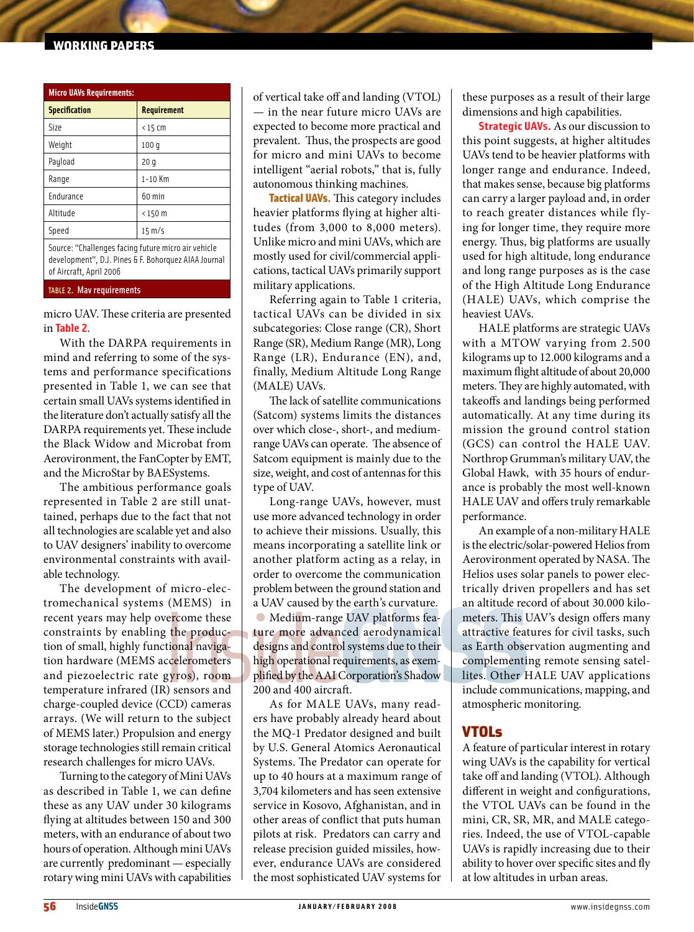## working papers

| <b>Micro UAVs Requirements:</b>                                                                                                        |                    |  |  |  |  |
|----------------------------------------------------------------------------------------------------------------------------------------|--------------------|--|--|--|--|
| <b>Specification</b>                                                                                                                   | <b>Requirement</b> |  |  |  |  |
| Size                                                                                                                                   | $<$ 15 cm          |  |  |  |  |
| Weight                                                                                                                                 | 100q               |  |  |  |  |
| Payload                                                                                                                                | 20 q               |  |  |  |  |
| Range                                                                                                                                  | $1-10$ Km          |  |  |  |  |
| Endurance                                                                                                                              | 60 min             |  |  |  |  |
| Altitude                                                                                                                               | $< 150$ m          |  |  |  |  |
| Speed                                                                                                                                  | $15 \text{ m/s}$   |  |  |  |  |
| Source: "Challenges facing future micro air vehicle<br>development", D.J. Pines & F. Bohorquez AIAA Journal<br>of Aircraft, April 2006 |                    |  |  |  |  |

#### TABLE 2. Mav requirements

micro UAV. These criteria are presented in **Table 2**.

With the DARPA requirements in mind and referring to some of the systems and performance specifications presented in Table 1, we can see that certain small UAVs systems identified in the literature don't actually satisfy all the DARPA requirements yet. These include the Black Widow and Microbat from Aerovironment, the FanCopter by EMT, and the MicroStar by BAESystems.

The ambitious performance goals represented in Table 2 are still unattained, perhaps due to the fact that not all technologies are scalable yet and also to UAV designers' inability to overcome environmental constraints with available technology.

The development of micro-electromechanical systems (MEMS) in recent years may help overcome these constraints by enabling the production of small, highly functional navigation hardware (MEMS accelerometers and piezoelectric rate gyros), room temperature infrared (IR) sensors and charge-coupled device (CCD) cameras arrays. (We will return to the subject of MEMS later.) Propulsion and energy storage technologies still remain critical research challenges for micro UAVs.

Turning to the category of Mini UAVs as described in Table 1, we can define these as any UAV under 30 kilograms flying at altitudes between 150 and 300 meters, with an endurance of about two hours of operation. Although mini UAVs are currently predominant — especially rotary wing mini UAVs with capabilities of vertical take off and landing (VTOL) — in the near future micro UAVs are expected to become more practical and prevalent. Thus, the prospects are good for micro and mini UAVs to become intelligent "aerial robots," that is, fully autonomous thinking machines.

Tactical UAVs. This category includes heavier platforms flying at higher altitudes (from 3,000 to 8,000 meters). Unlike micro and mini UAVs, which are mostly used for civil/commercial applications, tactical UAVs primarily support military applications.

Referring again to Table 1 criteria, tactical UAVs can be divided in six subcategories: Close range (CR), Short Range (SR), Medium Range (MR), Long Range (LR), Endurance (EN), and, finally, Medium Altitude Long Range (MALE) UAVs.

The lack of satellite communications (Satcom) systems limits the distances over which close-, short-, and mediumrange UAVs can operate. The absence of Satcom equipment is mainly due to the size, weight, and cost of antennas for this type of UAV.

Long-range UAVs, however, must use more advanced technology in order to achieve their missions. Usually, this means incorporating a satellite link or another platform acting as a relay, in order to overcome the communication problem between the ground station and a UAV caused by the earth's curvature.

Medium-range UAV platforms feature more advanced aerodynamical designs and control systems due to their high operational requirements, as exemplified by the AAI Corporation's Shadow 200 and 400 aircraft.

As for MALE UAVs, many readers have probably already heard about the MQ-1 Predator designed and built by U.S. General Atomics Aeronautical Systems. The Predator can operate for up to 40 hours at a maximum range of 3,704 kilometers and has seen extensive service in Kosovo, Afghanistan, and in other areas of conflict that puts human pilots at risk. Predators can carry and release precision guided missiles, however, endurance UAVs are considered the most sophisticated UAV systems for

these purposes as a result of their large dimensions and high capabilities.

**Strategic UAVs.** As our discussion to this point suggests, at higher altitudes UAVs tend to be heavier platforms with longer range and endurance. Indeed, that makes sense, because big platforms can carry a larger payload and, in order to reach greater distances while flying for longer time, they require more energy. Thus, big platforms are usually used for high altitude, long endurance and long range purposes as is the case of the High Altitude Long Endurance (HALE) UAVs, which comprise the heaviest UAVs.

HALE platforms are strategic UAVs with a MTOW varying from 2.500 kilograms up to 12.000 kilograms and a maximum flight altitude of about 20,000 meters. They are highly automated, with takeoffs and landings being performed automatically. At any time during its mission the ground control station (GCS) can control the HALE UAV. Northrop Grumman's military UAV, the Global Hawk, with 35 hours of endurance is probably the most well-known HALE UAV and offers truly remarkable performance.

An example of a non-military HALE is the electric/solar-powered Helios from Aerovironment operated by NASA. The Helios uses solar panels to power electrically driven propellers and has set an altitude record of about 30.000 kilometers. This UAV's design offers many attractive features for civil tasks, such as Earth observation augmenting and complementing remote sensing satellites. Other HALE UAV applications include communications, mapping, and atmospheric monitoring.

## VTOLs

A feature of particular interest in rotary wing UAVs is the capability for vertical take off and landing (VTOL). Although different in weight and configurations, the VTOL UAVs can be found in the mini, CR, SR, MR, and MALE categories. Indeed, the use of VTOL-capable UAVs is rapidly increasing due to their ability to hover over specific sites and fly at low altitudes in urban areas.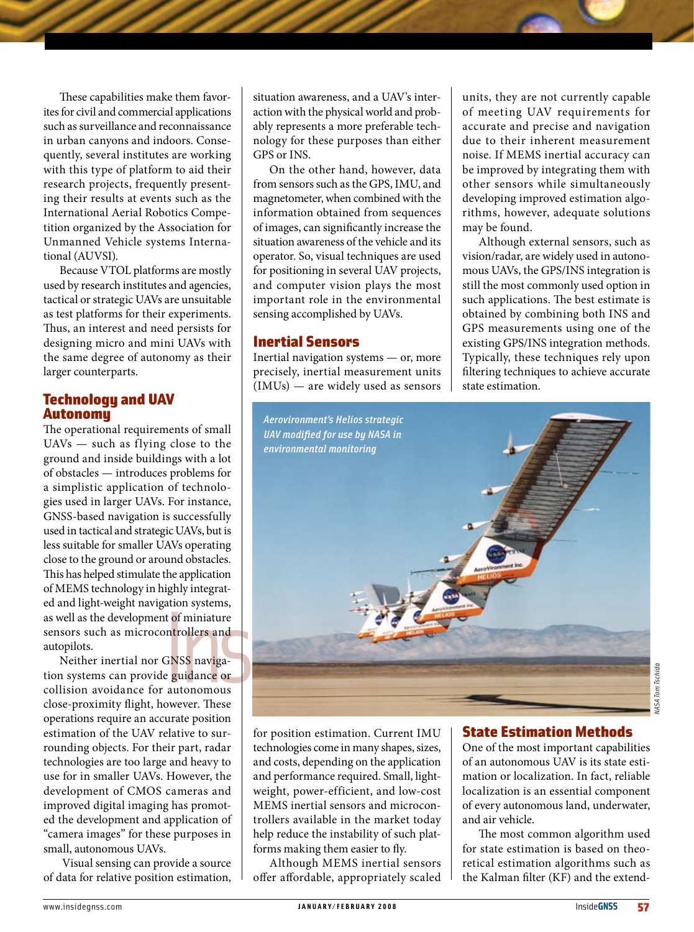These capabilities make them favorites for civil and commercial applications such as surveillance and reconnaissance in urban canyons and indoors. Consequently, several institutes are working with this type of platform to aid their research projects, frequently presenting their results at events such as the International Aerial Robotics Competition organized by the Association for Unmanned Vehicle systems International (AUVSI).

Because VTOL platforms are mostly used by research institutes and agencies, tactical or strategic UAVs are unsuitable as test platforms for their experiments. Thus, an interest and need persists for designing micro and mini UAVs with the same degree of autonomy as their larger counterparts.

# Technology and UAV Autonomy

The operational requirements of small UAVs — such as flying close to the ground and inside buildings with a lot of obstacles — introduces problems for a simplistic application of technologies used in larger UAVs. For instance, GNSS-based navigation is successfully used in tactical and strategic UAVs, but is less suitable for smaller UAVs operating close to the ground or around obstacles. This has helped stimulate the application of MEMS technology in highly integrated and light-weight navigation systems, as well as the development of miniature sensors such as microcontrollers and autopilots.

Neither inertial nor GNSS navigation systems can provide guidance or collision avoidance for autonomous close-proximity flight, however. These operations require an accurate position estimation of the UAV relative to surrounding objects. For their part, radar technologies are too large and heavy to use for in smaller UAVs. However, the development of CMOS cameras and improved digital imaging has promoted the development and application of "camera images" for these purposes in small, autonomous UAVs.

 Visual sensing can provide a source of data for relative position estimation, situation awareness, and a UAV's interaction with the physical world and probably represents a more preferable technology for these purposes than either GPS or INS.

On the other hand, however, data from sensors such as the GPS, IMU, and magnetometer, when combined with the information obtained from sequences of images, can significantly increase the situation awareness of the vehicle and its operator. So, visual techniques are used for positioning in several UAV projects, and computer vision plays the most important role in the environmental sensing accomplished by UAVs.

# Inertial Sensors

Inertial navigation systems — or, more precisely, inertial measurement units (IMUs) — are widely used as sensors units, they are not currently capable of meeting UAV requirements for accurate and precise and navigation due to their inherent measurement noise. If MEMS inertial accuracy can be improved by integrating them with other sensors while simultaneously developing improved estimation algorithms, however, adequate solutions may be found.

Although external sensors, such as vision/radar, are widely used in autonomous UAVs, the GPS/INS integration is still the most commonly used option in such applications. The best estimate is obtained by combining both INS and GPS measurements using one of the existing GPS/INS integration methods. Typically, these techniques rely upon filtering techniques to achieve accurate state estimation.



for position estimation. Current IMU technologies come in many shapes, sizes, and costs, depending on the application and performance required. Small, lightweight, power-efficient, and low-cost MEMS inertial sensors and microcontrollers available in the market today help reduce the instability of such platforms making them easier to fly.

Although MEMS inertial sensors offer affordable, appropriately scaled

## State Estimation Methods

One of the most important capabilities of an autonomous UAV is its state estimation or localization. In fact, reliable localization is an essential component of every autonomous land, underwater, and air vehicle.

The most common algorithm used for state estimation is based on theoretical estimation algorithms such as the Kalman filter (KF) and the extend-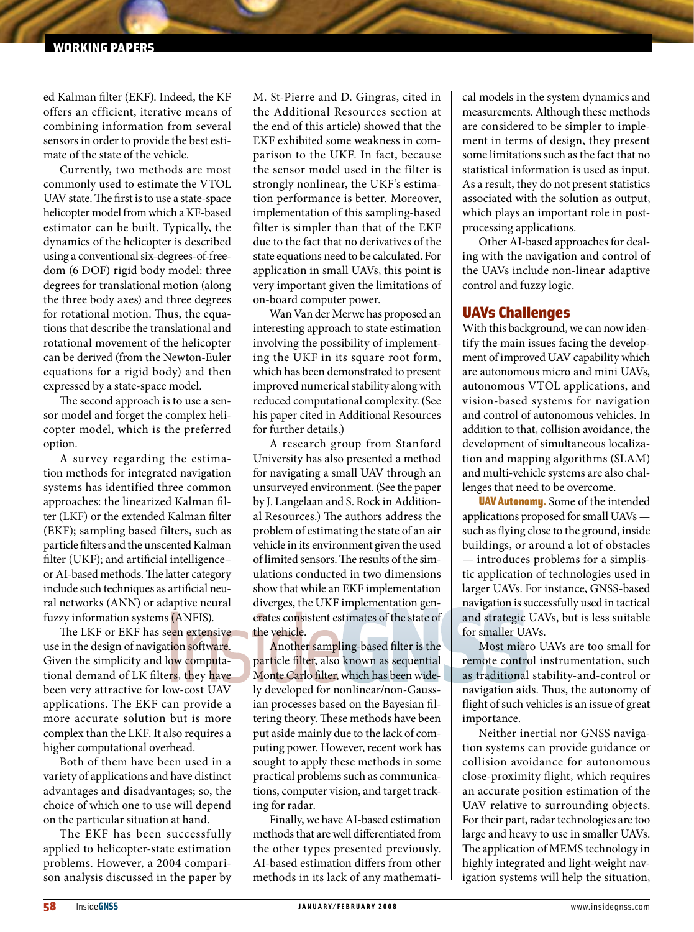#### **IRKING PAPERS**

ed Kalman filter (EKF). Indeed, the KF offers an efficient, iterative means of combining information from several sensors in order to provide the best estimate of the state of the vehicle.

Currently, two methods are most commonly used to estimate the VTOL UAV state. The first is to use a state-space helicopter model from which a KF-based estimator can be built. Typically, the dynamics of the helicopter is described using a conventional six-degrees-of-freedom (6 DOF) rigid body model: three degrees for translational motion (along the three body axes) and three degrees for rotational motion. Thus, the equations that describe the translational and rotational movement of the helicopter can be derived (from the Newton-Euler equations for a rigid body) and then expressed by a state-space model.

The second approach is to use a sensor model and forget the complex helicopter model, which is the preferred option.

A survey regarding the estimation methods for integrated navigation systems has identified three common approaches: the linearized Kalman filter (LKF) or the extended Kalman filter (EKF); sampling based filters, such as particle filters and the unscented Kalman filter (UKF); and artificial intelligence– or AI-based methods. The latter category include such techniques as artificial neural networks (ANN) or adaptive neural fuzzy information systems (ANFIS).

The LKF or EKF has seen extensive use in the design of navigation software. Given the simplicity and low computational demand of LK filters, they have been very attractive for low-cost UAV applications. The EKF can provide a more accurate solution but is more complex than the LKF. It also requires a higher computational overhead.

Both of them have been used in a variety of applications and have distinct advantages and disadvantages; so, the choice of which one to use will depend on the particular situation at hand.

The EKF has been successfully applied to helicopter-state estimation problems. However, a 2004 comparison analysis discussed in the paper by M. St-Pierre and D. Gingras, cited in the Additional Resources section at the end of this article) showed that the EKF exhibited some weakness in comparison to the UKF. In fact, because the sensor model used in the filter is strongly nonlinear, the UKF's estimation performance is better. Moreover, implementation of this sampling-based filter is simpler than that of the EKF due to the fact that no derivatives of the state equations need to be calculated. For application in small UAVs, this point is very important given the limitations of on-board computer power.

Wan Van der Merwe has proposed an interesting approach to state estimation involving the possibility of implementing the UKF in its square root form, which has been demonstrated to present improved numerical stability along with reduced computational complexity. (See his paper cited in Additional Resources for further details.)

A research group from Stanford University has also presented a method for navigating a small UAV through an unsurveyed environment. (See the paper by J. Langelaan and S. Rock in Additional Resources.) The authors address the problem of estimating the state of an air vehicle in its environment given the used of limited sensors. The results of the simulations conducted in two dimensions show that while an EKF implementation diverges, the UKF implementation generates consistent estimates of the state of the vehicle.

Another sampling-based filter is the particle filter, also known as sequential Monte Carlo filter, which has been widely developed for nonlinear/non-Gaussian processes based on the Bayesian filtering theory. These methods have been put aside mainly due to the lack of computing power. However, recent work has sought to apply these methods in some practical problems such as communications, computer vision, and target tracking for radar.

Finally, we have AI-based estimation methods that are well differentiated from the other types presented previously. AI-based estimation differs from other methods in its lack of any mathematical models in the system dynamics and measurements. Although these methods are considered to be simpler to implement in terms of design, they present some limitations such as the fact that no statistical information is used as input. As a result, they do not present statistics associated with the solution as output, which plays an important role in postprocessing applications.

Other AI-based approaches for dealing with the navigation and control of the UAVs include non-linear adaptive control and fuzzy logic.

## UAVs Challenges

With this background, we can now identify the main issues facing the development of improved UAV capability which are autonomous micro and mini UAVs, autonomous VTOL applications, and vision-based systems for navigation and control of autonomous vehicles. In addition to that, collision avoidance, the development of simultaneous localization and mapping algorithms (SLAM) and multi-vehicle systems are also challenges that need to be overcome.

UAV Autonomy. Some of the intended applications proposed for small UAVs such as flying close to the ground, inside buildings, or around a lot of obstacles — introduces problems for a simplistic application of technologies used in larger UAVs. For instance, GNSS-based navigation is successfully used in tactical and strategic UAVs, but is less suitable for smaller UAVs.

Most micro UAVs are too small for remote control instrumentation, such as traditional stability-and-control or navigation aids. Thus, the autonomy of flight of such vehicles is an issue of great importance.

Neither inertial nor GNSS navigation systems can provide guidance or collision avoidance for autonomous close-proximity flight, which requires an accurate position estimation of the UAV relative to surrounding objects. For their part, radar technologies are too large and heavy to use in smaller UAVs. The application of MEMS technology in highly integrated and light-weight navigation systems will help the situation,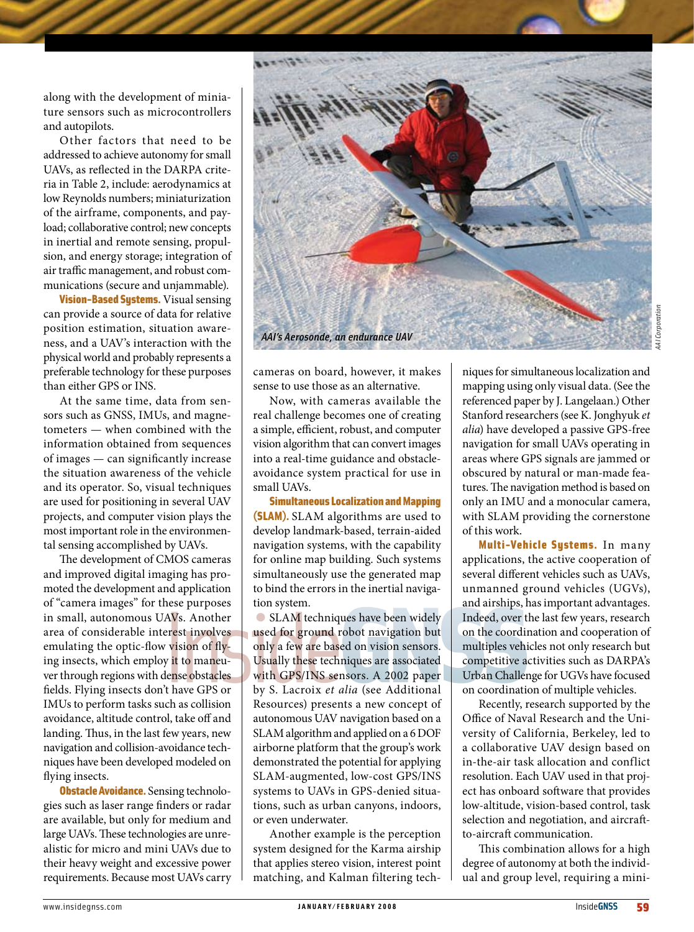along with the development of miniature sensors such as microcontrollers and autopilots.

Other factors that need to be addressed to achieve autonomy for small UAVs, as reflected in the DARPA criteria in Table 2, include: aerodynamics at low Reynolds numbers; miniaturization of the airframe, components, and payload; collaborative control; new concepts in inertial and remote sensing, propulsion, and energy storage; integration of air traffic management, and robust communications (secure and unjammable).

**Vision-Based Systems.** Visual sensing can provide a source of data for relative position estimation, situation awareness, and a UAV's interaction with the physical world and probably represents a preferable technology for these purposes than either GPS or INS.

At the same time, data from sensors such as GNSS, IMUs, and magnetometers — when combined with the information obtained from sequences of images — can significantly increase the situation awareness of the vehicle and its operator. So, visual techniques are used for positioning in several UAV projects, and computer vision plays the most important role in the environmental sensing accomplished by UAVs.

The development of CMOS cameras and improved digital imaging has promoted the development and application of "camera images" for these purposes in small, autonomous UAVs. Another area of considerable interest involves emulating the optic-flow vision of flying insects, which employ it to maneuver through regions with dense obstacles fields. Flying insects don't have GPS or IMUs to perform tasks such as collision avoidance, altitude control, take off and landing. Thus, in the last few years, new navigation and collision-avoidance techniques have been developed modeled on flying insects.

**Obstacle Avoidance.** Sensing technologies such as laser range finders or radar are available, but only for medium and large UAVs. These technologies are unrealistic for micro and mini UAVs due to their heavy weight and excessive power requirements. Because most UAVs carry



cameras on board, however, it makes sense to use those as an alternative.

Now, with cameras available the real challenge becomes one of creating a simple, efficient, robust, and computer vision algorithm that can convert images into a real-time guidance and obstacleavoidance system practical for use in small UAVs.

Simultaneous Localization and Mapping (SLAM). SLAM algorithms are used to develop landmark-based, terrain-aided navigation systems, with the capability for online map building. Such systems simultaneously use the generated map to bind the errors in the inertial navigation system.

SLAM techniques have been widely used for ground robot navigation but only a few are based on vision sensors. Usually these techniques are associated with GPS/INS sensors. A 2002 paper by S. Lacroix *et alia* (see Additional Resources) presents a new concept of autonomous UAV navigation based on a SLAM algorithm and applied on a 6 DOF airborne platform that the group's work demonstrated the potential for applying SLAM-augmented, low-cost GPS/INS systems to UAVs in GPS-denied situations, such as urban canyons, indoors, or even underwater.

Another example is the perception system designed for the Karma airship that applies stereo vision, interest point matching, and Kalman filtering techniques for simultaneous localization and mapping using only visual data. (See the referenced paper by J. Langelaan.) Other Stanford researchers (see K. Jonghyuk *et alia*) have developed a passive GPS-free navigation for small UAVs operating in areas where GPS signals are jammed or obscured by natural or man-made features. The navigation method is based on only an IMU and a monocular camera, with SLAM providing the cornerstone of this work.

Multi-Vehicle Systems. In many applications, the active cooperation of several different vehicles such as UAVs, unmanned ground vehicles (UGVs), and airships, has important advantages. Indeed, over the last few years, research on the coordination and cooperation of multiples vehicles not only research but competitive activities such as DARPA's Urban Challenge for UGVs have focused on coordination of multiple vehicles.

Recently, research supported by the Office of Naval Research and the University of California, Berkeley, led to a collaborative UAV design based on in-the-air task allocation and conflict resolution. Each UAV used in that project has onboard software that provides low-altitude, vision-based control, task selection and negotiation, and aircraftto-aircraft communication.

This combination allows for a high degree of autonomy at both the individual and group level, requiring a mini-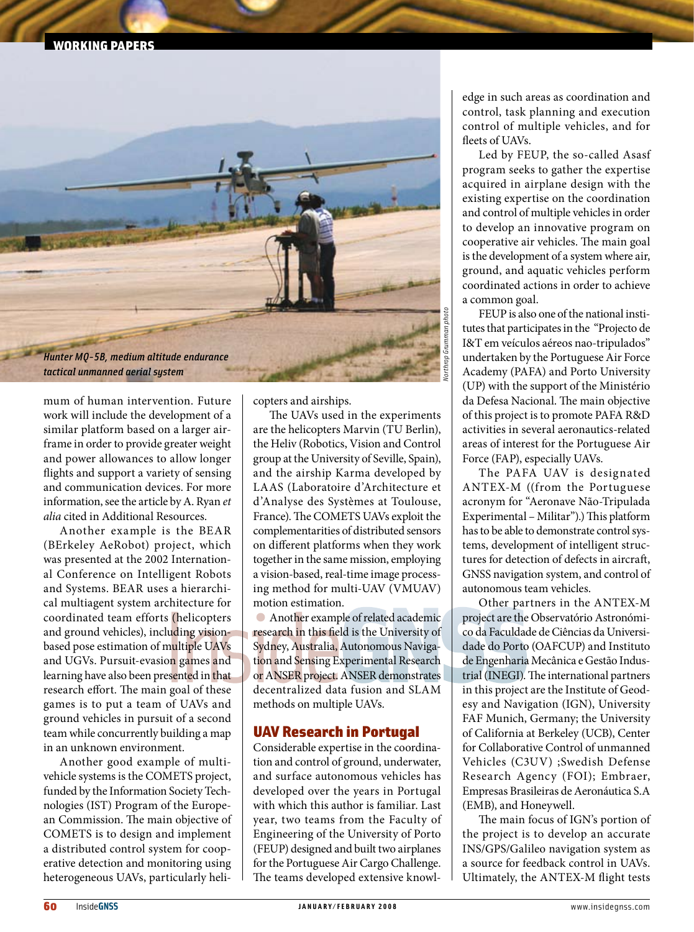

mum of human intervention. Future work will include the development of a similar platform based on a larger airframe in order to provide greater weight and power allowances to allow longer flights and support a variety of sensing and communication devices. For more information, see the article by A. Ryan *et alia* cited in Additional Resources.

Another example is the BEAR (BErkeley AeRobot) project, which was presented at the 2002 International Conference on Intelligent Robots and Systems. BEAR uses a hierarchical multiagent system architecture for coordinated team efforts (helicopters and ground vehicles), including visionbased pose estimation of multiple UAVs and UGVs. Pursuit-evasion games and learning have also been presented in that research effort. The main goal of these games is to put a team of UAVs and ground vehicles in pursuit of a second team while concurrently building a map in an unknown environment.

Another good example of multivehicle systems is the COMETS project, funded by the Information Society Technologies (IST) Program of the European Commission. The main objective of COMETS is to design and implement a distributed control system for cooperative detection and monitoring using heterogeneous UAVs, particularly helicopters and airships.

The UAVs used in the experiments are the helicopters Marvin (TU Berlin), the Heliv (Robotics, Vision and Control group at the University of Seville, Spain), and the airship Karma developed by LAAS (Laboratoire d'Architecture et d'Analyse des Systèmes at Toulouse, France). The COMETS UAVs exploit the complementarities of distributed sensors on different platforms when they work together in the same mission, employing a vision-based, real-time image processing method for multi-UAV (VMUAV) motion estimation.

Another example of related academic research in this field is the University of Sydney, Australia, Autonomous Navigation and Sensing Experimental Research or ANSER project. ANSER demonstrates decentralized data fusion and SLAM methods on multiple UAVs.

## UAV Research in Portugal

Considerable expertise in the coordination and control of ground, underwater, and surface autonomous vehicles has developed over the years in Portugal with which this author is familiar. Last year, two teams from the Faculty of Engineering of the University of Porto (FEUP) designed and built two airplanes for the Portuguese Air Cargo Challenge. The teams developed extensive knowledge in such areas as coordination and control, task planning and execution control of multiple vehicles, and for fleets of UAVs.

Led by FEUP, the so-called Asasf program seeks to gather the expertise acquired in airplane design with the existing expertise on the coordination and control of multiple vehicles in order to develop an innovative program on cooperative air vehicles. The main goal is the development of a system where air, ground, and aquatic vehicles perform coordinated actions in order to achieve a common goal.

FEUP is also one of the national institutes that participates in the "Projecto de I&T em veículos aéreos nao-tripulados" undertaken by the Portuguese Air Force Academy (PAFA) and Porto University (UP) with the support of the Ministério da Defesa Nacional. The main objective of this project is to promote PAFA R&D activities in several aeronautics-related areas of interest for the Portuguese Air Force (FAP), especially UAVs.

The PAFA UAV is designated ANTEX-M ((from the Portuguese acronym for "Aeronave Não-Tripulada Experimental – Militar").) This platform has to be able to demonstrate control systems, development of intelligent structures for detection of defects in aircraft, GNSS navigation system, and control of autonomous team vehicles.

Other partners in the ANTEX-M project are the Observatório Astronómico da Faculdade de Ciências da Universidade do Porto (OAFCUP) and Instituto de Engenharia Mecânica e Gestão Industrial (INEGI). The international partners in this project are the Institute of Geodesy and Navigation (IGN), University FAF Munich, Germany; the University of California at Berkeley (UCB), Center for Collaborative Control of unmanned Vehicles (C3UV) ;Swedish Defense Research Agency (FOI); Embraer, Empresas Brasileiras de Aeronáutica S.A (EMB), and Honeywell.

The main focus of IGN's portion of the project is to develop an accurate INS/GPS/Galileo navigation system as a source for feedback control in UAVs. Ultimately, the ANTEX-M flight tests